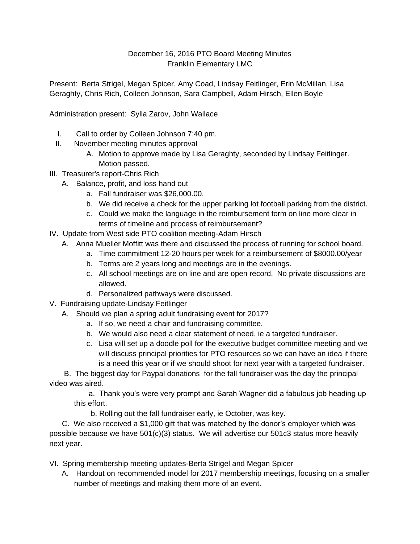## December 16, 2016 PTO Board Meeting Minutes Franklin Elementary LMC

Present: Berta Strigel, Megan Spicer, Amy Coad, Lindsay Feitlinger, Erin McMillan, Lisa Geraghty, Chris Rich, Colleen Johnson, Sara Campbell, Adam Hirsch, Ellen Boyle

Administration present: Sylla Zarov, John Wallace

- I. Call to order by Colleen Johnson 7:40 pm.
- II. November meeting minutes approval
	- A. Motion to approve made by Lisa Geraghty, seconded by Lindsay Feitlinger. Motion passed.
- III. Treasurer's report-Chris Rich
	- A. Balance, profit, and loss hand out
		- a. Fall fundraiser was \$26,000.00.
		- b. We did receive a check for the upper parking lot football parking from the district.
		- c. Could we make the language in the reimbursement form on line more clear in terms of timeline and process of reimbursement?
- IV. Update from West side PTO coalition meeting-Adam Hirsch
	- A. Anna Mueller Moffitt was there and discussed the process of running for school board.
		- a. Time commitment 12-20 hours per week for a reimbursement of \$8000.00/year
		- b. Terms are 2 years long and meetings are in the evenings.
		- c. All school meetings are on line and are open record. No private discussions are allowed.
		- d. Personalized pathways were discussed.
- V. Fundraising update-Lindsay Feitlinger
	- A. Should we plan a spring adult fundraising event for 2017?
		- a. If so, we need a chair and fundraising committee.
		- b. We would also need a clear statement of need, ie a targeted fundraiser.
		- c. Lisa will set up a doodle poll for the executive budget committee meeting and we will discuss principal priorities for PTO resources so we can have an idea if there is a need this year or if we should shoot for next year with a targeted fundraiser.

 B. The biggest day for Paypal donations for the fall fundraiser was the day the principal video was aired.

 a. Thank you's were very prompt and Sarah Wagner did a fabulous job heading up this effort.

b. Rolling out the fall fundraiser early, ie October, was key.

 C. We also received a \$1,000 gift that was matched by the donor's employer which was possible because we have 501(c)(3) status. We will advertise our 501c3 status more heavily next year.

- VI. Spring membership meeting updates-Berta Strigel and Megan Spicer
	- A. Handout on recommended model for 2017 membership meetings, focusing on a smaller number of meetings and making them more of an event.